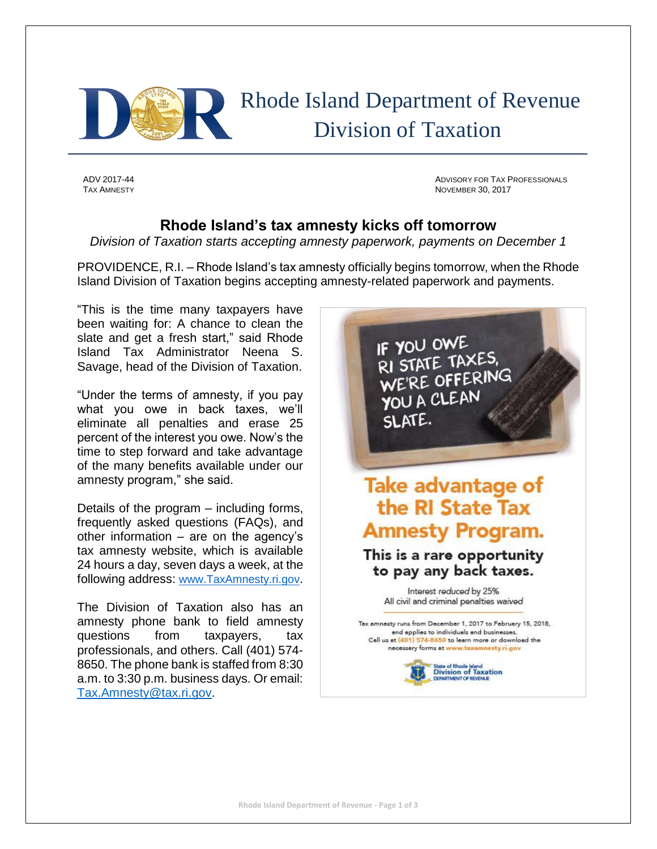

 Rhode Island Department of Revenue Division of Taxation

ADV 2017-44 ADVISORY FOR TAX PROFESSIONALS TAX AMNESTY **NOVEMBER 30, 2017** 

# **Rhode Island's tax amnesty kicks off tomorrow**

*Division of Taxation starts accepting amnesty paperwork, payments on December 1*

PROVIDENCE, R.I. – Rhode Island's tax amnesty officially begins tomorrow, when the Rhode Island Division of Taxation begins accepting amnesty-related paperwork and payments.

"This is the time many taxpayers have been waiting for: A chance to clean the slate and get a fresh start," said Rhode Island Tax Administrator Neena S. Savage, head of the Division of Taxation.

"Under the terms of amnesty, if you pay what you owe in back taxes, we'll eliminate all penalties and erase 25 percent of the interest you owe. Now's the time to step forward and take advantage of the many benefits available under our amnesty program," she said.

Details of the program – including forms, frequently asked questions (FAQs), and other information – are on the agency's tax amnesty website, which is available 24 hours a day, seven days a week, at the following address: [www.TaxAmnesty.ri.gov](http://www.taxamnesty.ri.gov/).

The Division of Taxation also has an amnesty phone bank to field amnesty questions from taxpayers, tax professionals, and others. Call (401) 574- 8650. The phone bank is staffed from 8:30 a.m. to 3:30 p.m. business days. Or email: [Tax.Amnesty@tax.ri.gov.](mailto:Tax.Amnesty@tax.ri.gov)

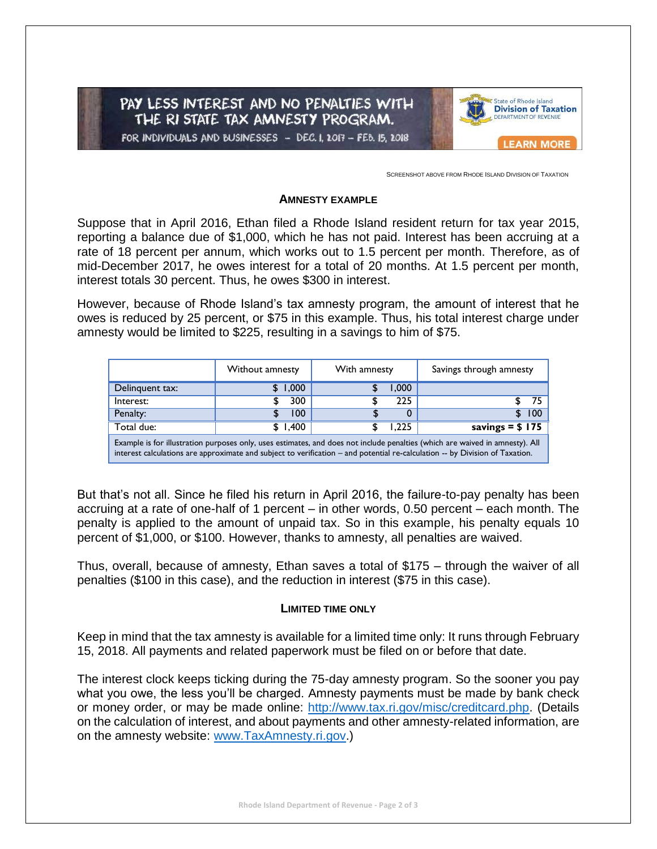PAY LESS INTEREST AND NO PENALTIES WITH THE RI STATE TAX AMNESTY PROGRAM. FOR INDIVIDUALS AND BUSINESSES - DEC. 1, 2017 - FEB. 15, 2018



SCREENSHOT ABOVE FROM RHODE ISLAND DIVISION OF TAXATION

### **AMNESTY EXAMPLE**

Suppose that in April 2016, Ethan filed a Rhode Island resident return for tax year 2015, reporting a balance due of \$1,000, which he has not paid. Interest has been accruing at a rate of 18 percent per annum, which works out to 1.5 percent per month. Therefore, as of mid-December 2017, he owes interest for a total of 20 months. At 1.5 percent per month, interest totals 30 percent. Thus, he owes \$300 in interest.

However, because of Rhode Island's tax amnesty program, the amount of interest that he owes is reduced by 25 percent, or \$75 in this example. Thus, his total interest charge under amnesty would be limited to \$225, resulting in a savings to him of \$75.

|                                                                                                                                                                                                                                                              | Without amnesty | With amnesty | Savings through amnesty |
|--------------------------------------------------------------------------------------------------------------------------------------------------------------------------------------------------------------------------------------------------------------|-----------------|--------------|-------------------------|
| Delinguent tax:                                                                                                                                                                                                                                              | \$1,000         | 1,000        |                         |
| Interest:                                                                                                                                                                                                                                                    | 300             | 225          | 75                      |
| Penalty:                                                                                                                                                                                                                                                     | 100             |              | 100                     |
| Total due:                                                                                                                                                                                                                                                   | \$1.400         | 1.225        | savings = $$175$        |
| Example is for illustration purposes only, uses estimates, and does not include penalties (which are waived in amnesty). All<br>interest calculations are approximate and subject to verification – and potential re-calculation -- by Division of Taxation. |                 |              |                         |

But that's not all. Since he filed his return in April 2016, the failure-to-pay penalty has been accruing at a rate of one-half of 1 percent – in other words, 0.50 percent – each month. The penalty is applied to the amount of unpaid tax. So in this example, his penalty equals 10 percent of \$1,000, or \$100. However, thanks to amnesty, all penalties are waived.

Thus, overall, because of amnesty, Ethan saves a total of \$175 – through the waiver of all penalties (\$100 in this case), and the reduction in interest (\$75 in this case).

### **LIMITED TIME ONLY**

Keep in mind that the tax amnesty is available for a limited time only: It runs through February 15, 2018. All payments and related paperwork must be filed on or before that date.

The interest clock keeps ticking during the 75-day amnesty program. So the sooner you pay what you owe, the less you'll be charged. Amnesty payments must be made by bank check or money order, or may be made online: [http://www.tax.ri.gov/misc/creditcard.php.](http://www.tax.ri.gov/misc/creditcard.php) (Details on the calculation of interest, and about payments and other amnesty-related information, are on the amnesty website: [www.TaxAmnesty.ri.gov.](http://www.taxamnesty.ri.gov/))